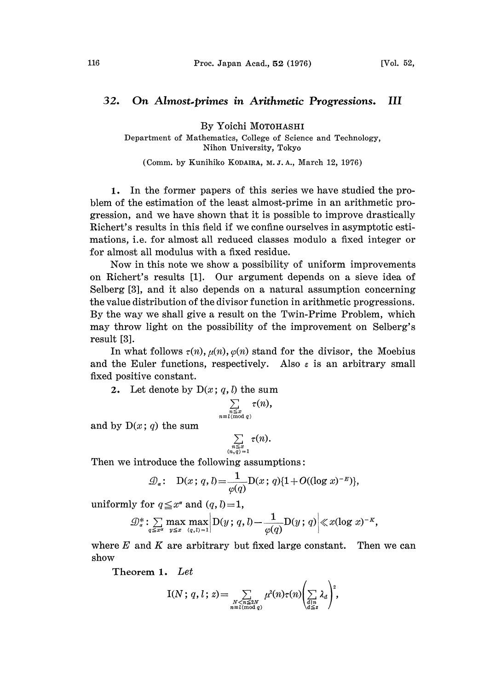## 32. On Almost.primes in Arithmetic Progressions. III

By Yoichi MOTOHASHI

Department of Mathematics, College of Science and Technology, Nihon University, Tokyo

(Comm. by Kunihiko KODAIRA, M. J. A., March 12, 1976)

1. In the former papers of this series we have studied the problem of the estimation of the least almost-prime in an arithmetic progression, and we have shown that it is possible to improve drastically Richert's results in this field if we confine ourselves in asymptotic estimations, i.e. for almost all reduced classes modulo a fixed integer or for almost all modulus with a fixed residue.

Now in this note we show a possibility of uniform improvements on Richert's results [1]. Our argument depends on a sieve idea of Selberg [3], and it also depends on a natural assumption concerning the value distribution of the divisor function in arithmetic progressions. By the way we shall give a result on the Twin-Prime Problem, which may throw light on the possibility of the improvement on Selberg's result [3].

In what follows  $\tau(n)$ ,  $\mu(n)$ ,  $\varphi(n)$  stand for the divisor, the Moebius and the Euler functions, respectively. Also  $\varepsilon$  is an arbitrary small fixed positive constant.

2. Let denote by  $D(x; q, l)$  the sum

$$
\sum_{\substack{n \leq x \\ \equiv l \pmod{q}}} \tau(n),
$$

and by  $D(x; q)$  the sum

$$
\sum_{\substack{n \leq x \\ (n, q) = 1}} \tau(n).
$$

Then we introduce the following assumptions:

$$
\mathcal{D}_{\alpha}: \quad \mathrm{D}(x\,;\,q\,,l)=\frac{1}{\varphi(q)}\mathrm{D}(x\,;\,q)\{1+O((\log x)^{-E})\},
$$

uniformly for  $q \leq x^{\alpha}$  and  $(q, l) = 1$ ,

$$
\mathcal{D}_\alpha^* : \sum_{q \leq x^\alpha} \max_{y \leq x} \max_{(q, l) = 1} \left| D(y; q, l) - \frac{1}{\varphi(q)} D(y; q) \right| \ll x(\log x)^{-\kappa},
$$

where  $E$  and  $K$  are arbitrary but fixed large constant. Then we can show

Theorem 1. Let

$$
I(N; q, l; z) = \sum_{\substack{N < n \leq 2N \\ n \equiv l \pmod{q}}} \mu^{2}(n) \tau(n) \left(\sum_{\substack{d \mid n \\ d \leq z}} \lambda_{d}\right)^{2},
$$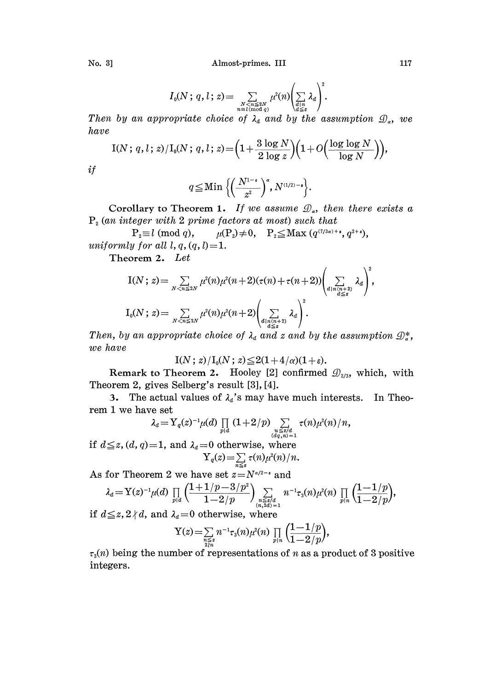No. 3] Almost-primes. III 117

$$
I_0(N; q, l; z) = \sum_{\substack{N < n \leq 2N \\ n \equiv l \pmod{q}}} \mu^2(n) \left( \sum_{\substack{d \mid n \\ d \leq z}} \lambda_d \right)^2.
$$

Then by an appropriate choice of  $\lambda_a$  and by the assumption  $\mathcal{D}_a$ , we have

$$
\mathrm{I}(N\,;\,q, l\,;\,z)/\mathrm{I}_0(N\,;\,q, l\,;\,z) \!=\! \Big(1 \!+\! \frac{3 \log N}{2 \log z}\Big)\!\Big(1\!+\!O\!\Big(\!\frac{\log \log N}{\log N}\Big)\!\Big)\!,
$$

 $if$ 

$$
q \leq \mathrm{Min}\left\{ \left( \frac{N^{1-\epsilon}}{z^2} \right)^{\alpha}, N^{(1/2)-\epsilon} \right\}.
$$

Corollary to Theorem 1. If we assume  $\mathcal{D}_{\alpha}$ , then there exists a

 $P_2$  (an integer with 2 prime factors at most) such that<br> $P_2 \equiv l \pmod{q}$ ,  $\mu(P_2) \neq 0$ ,  $P_2 \leq \text{Max } (q^{\tau_{1/3\alpha}+1})$  $\mu(P_2) \neq 0$ ,  $P_2 \leq Max (q^{(7/3\alpha)+\epsilon}, q^{2+\epsilon}),$ uniformly for all  $l, q, (q, l)=1$ .

Theorem 2. Let

$$
I(N; z) = \sum_{N < n \leq 2N} \mu^2(n)\mu^2(n+2)(\tau(n)+\tau(n+2))\left(\sum_{\substack{d \mid n(n+2) \\ d \leq z}} \lambda_d\right),
$$
\n
$$
I_0(N; z) = \sum_{N < n \leq 2N} \mu^2(n)\mu^2(n+2)\left(\sum_{\substack{d \mid n(n+2) \\ d \leq z}} \lambda_d\right)^2.
$$

Then, by an appropriate choice of  $\lambda_a$  and z and by the assumption  $\mathcal{D}_a^*$ , we have

$$
\mathrm{I}(N\,;\,z)/\mathrm{I}_0(N\,;\,z)\!\leq\!2(1\!+\!4/\alpha)(1\!+\!\varepsilon).
$$

Remark to Theorem 2. Hooley [2] confirmed  $\mathcal{D}_{2/3}$ , which, with Theorem 2, gives Selberg's result [3], [4].

3. The actual values of  $\lambda_d$ 's may have much interests. In Theorem <sup>1</sup> we have set

$$
\lambda_d = Y_q(z)^{-1} \mu(d) \prod_{p|d} (1+2/p) \sum_{\substack{u \leq z/d \\ (dq, n) = 1}} \tau(n) \mu^2(n)/n,
$$

if  $d \leq z$ ,  $(d, q) = 1$ , and  $\lambda_d = 0$  otherwise, where  $Y_q(z) = \sum_{n \leq z} \tau(n) \mu^2(n)/n.$ 

As for Theorem 2 we have set  $z=N^{\alpha/2-\epsilon}$  and

$$
\lambda_d = Y(z)^{-1} \mu(d) \prod_{p|d} \left( \frac{1+1/p-3/p^2}{1-2/p} \right) \sum_{\substack{n \leq z/d \\ (n, 2d)=1}} n^{-1} \tau_3(n) \mu^2(n) \prod_{p|n} \left( \frac{1-1/p}{1-2/p} \right),
$$

if  $d \leq z$ ,  $2 \nmid d$ , and  $\lambda_d = 0$  otherwise, where

$$
Y(z) = \sum_{\substack{n \leq x \\ 2 \nmid n}} n^{-1} \tau_3(n) \mu^2(n) \prod_{p \mid n} \left( \frac{1 - 1/p}{1 - 2/p} \right),
$$

 $\tau_3(n)$  being the number of representations of n as a product of 3 positive integers.